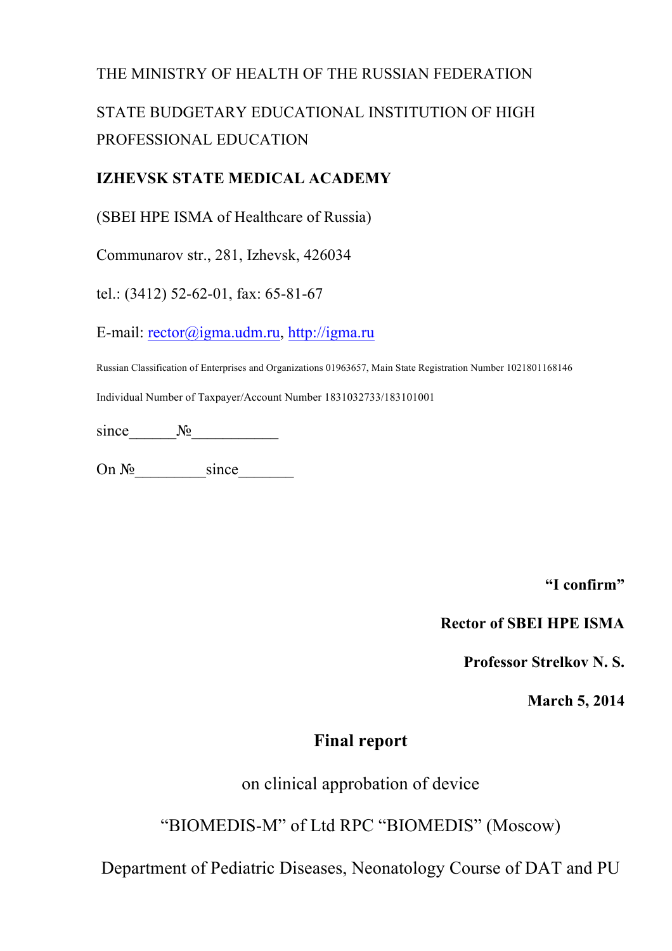### THE MINISTRY OF HEALTH OF THE RUSSIAN FEDERATION

# STATE BUDGETARY EDUCATIONAL INSTITUTION OF HIGH PROFESSIONAL EDUCATION

#### **IZHEVSK STATE MEDICAL ACADEMY**

(SBEI HPE ISMA of Healthcare of Russia)

Communarov str., 281, Izhevsk, 426034

tel.: (3412) 52-62-01, fax: 65-81-67

E-mail: rector@igma.udm.ru, http://igma.ru

Russian Classification of Enterprises and Organizations 01963657, Main State Registration Number 1021801168146

Individual Number of Taxpayer/Account Number 1831032733/183101001

since  $\mathcal{N}_2$ 

On  $N_2$  since

**"I confirm"**

#### **Rector of SBEI HPE ISMA**

**Professor Strelkov N. S.**

**March 5, 2014**

### **Final report**

on clinical approbation of device

"BIOMEDIS-M" of Ltd RPC "BIOMEDIS" (Moscow)

Department of Pediatric Diseases, Neonatology Course of DAT and PU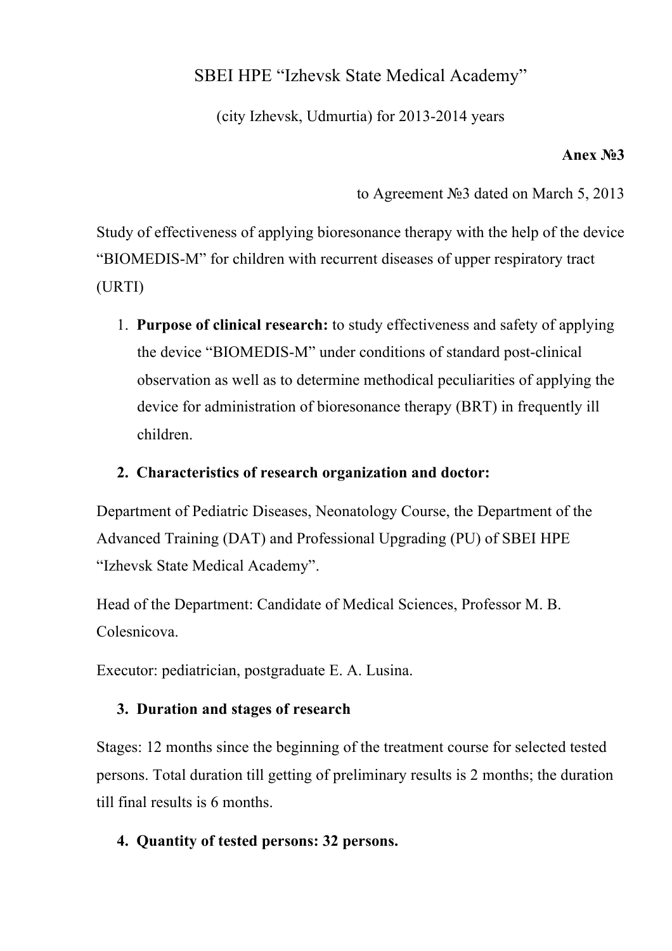# SBEI HPE "Izhevsk State Medical Academy"

(city Izhevsk, Udmurtia) for 2013-2014 years

#### **Anex №3**

to Agreement №3 dated on March 5, 2013

Study of effectiveness of applying bioresonance therapy with the help of the device "BIOMEDIS-M" for children with recurrent diseases of upper respiratory tract (URTI)

1. **Purpose of clinical research:** to study effectiveness and safety of applying the device "BIOMEDIS-M" under conditions of standard post-clinical observation as well as to determine methodical peculiarities of applying the device for administration of bioresonance therapy (BRT) in frequently ill children.

### **2. Characteristics of research organization and doctor:**

Department of Pediatric Diseases, Neonatology Course, the Department of the Advanced Training (DAT) and Professional Upgrading (PU) of SBEI HPE "Izhevsk State Medical Academy".

Head of the Department: Candidate of Medical Sciences, Professor M. B. Colesnicova.

Executor: pediatrician, postgraduate E. A. Lusina.

#### **3. Duration and stages of research**

Stages: 12 months since the beginning of the treatment course for selected tested persons. Total duration till getting of preliminary results is 2 months; the duration till final results is 6 months.

# **4. Quantity of tested persons: 32 persons.**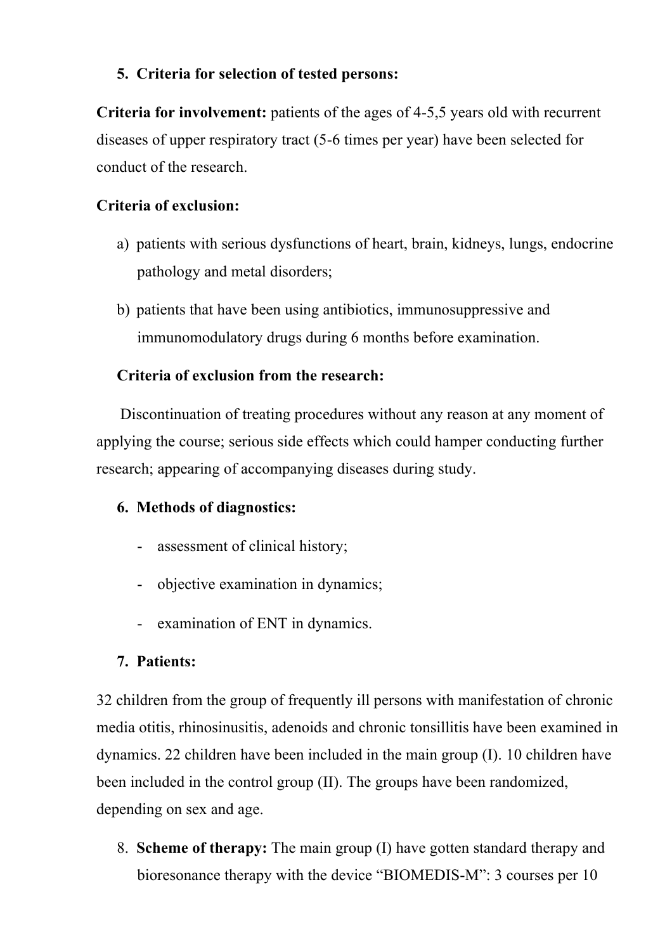### **5. Criteria for selection of tested persons:**

**Criteria for involvement:** patients of the ages of 4-5,5 years old with recurrent diseases of upper respiratory tract (5-6 times per year) have been selected for conduct of the research.

### **Criteria of exclusion:**

- a) patients with serious dysfunctions of heart, brain, kidneys, lungs, endocrine pathology and metal disorders;
- b) patients that have been using antibiotics, immunosuppressive and immunomodulatory drugs during 6 months before examination.

# **Criteria of exclusion from the research:**

 Discontinuation of treating procedures without any reason at any moment of applying the course; serious side effects which could hamper conducting further research; appearing of accompanying diseases during study.

# **6. Methods of diagnostics:**

- assessment of clinical history;
- objective examination in dynamics;
- examination of ENT in dynamics.

#### **7. Patients:**

32 children from the group of frequently ill persons with manifestation of chronic media otitis, rhinosinusitis, adenoids and chronic tonsillitis have been examined in dynamics. 22 children have been included in the main group (I). 10 children have been included in the control group (II). The groups have been randomized, depending on sex and age.

8. **Scheme of therapy:** The main group (I) have gotten standard therapy and bioresonance therapy with the device "BIOMEDIS-M": 3 courses per 10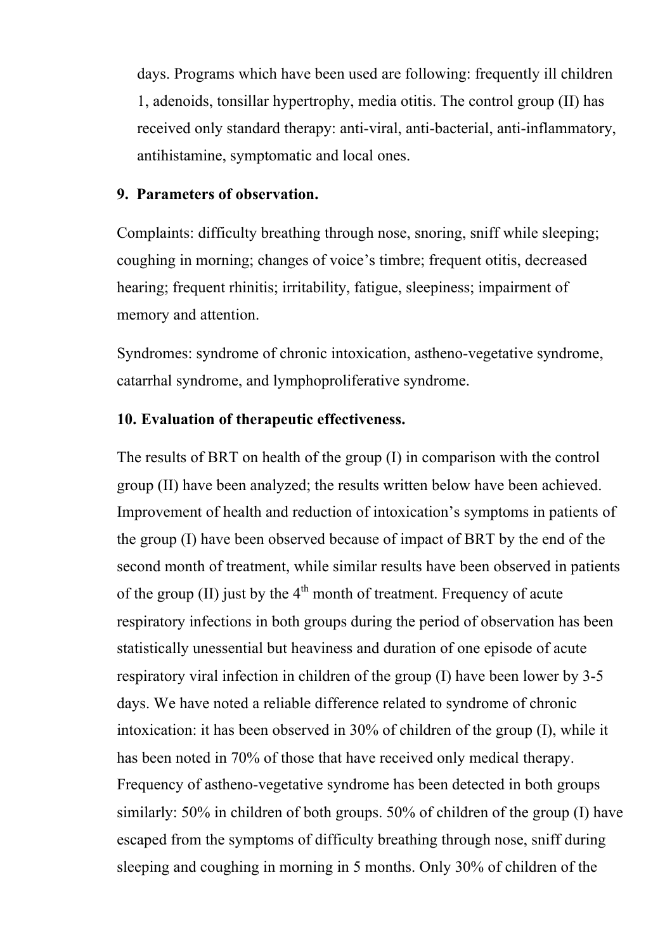days. Programs which have been used are following: frequently ill children 1, adenoids, tonsillar hypertrophy, media otitis. The control group (II) has received only standard therapy: anti-viral, anti-bacterial, anti-inflammatory, antihistamine, symptomatic and local ones.

#### **9. Parameters of observation.**

Complaints: difficulty breathing through nose, snoring, sniff while sleeping; coughing in morning; changes of voice's timbre; frequent otitis, decreased hearing; frequent rhinitis; irritability, fatigue, sleepiness; impairment of memory and attention.

Syndromes: syndrome of chronic intoxication, astheno-vegetative syndrome, catarrhal syndrome, and lymphoproliferative syndrome.

#### **10. Evaluation of therapeutic effectiveness.**

The results of BRT on health of the group (I) in comparison with the control group (II) have been analyzed; the results written below have been achieved. Improvement of health and reduction of intoxication's symptoms in patients of the group (I) have been observed because of impact of BRT by the end of the second month of treatment, while similar results have been observed in patients of the group (II) just by the  $4<sup>th</sup>$  month of treatment. Frequency of acute respiratory infections in both groups during the period of observation has been statistically unessential but heaviness and duration of one episode of acute respiratory viral infection in children of the group (I) have been lower by 3-5 days. We have noted a reliable difference related to syndrome of chronic intoxication: it has been observed in 30% of children of the group (I), while it has been noted in 70% of those that have received only medical therapy. Frequency of astheno-vegetative syndrome has been detected in both groups similarly: 50% in children of both groups. 50% of children of the group (I) have escaped from the symptoms of difficulty breathing through nose, sniff during sleeping and coughing in morning in 5 months. Only 30% of children of the